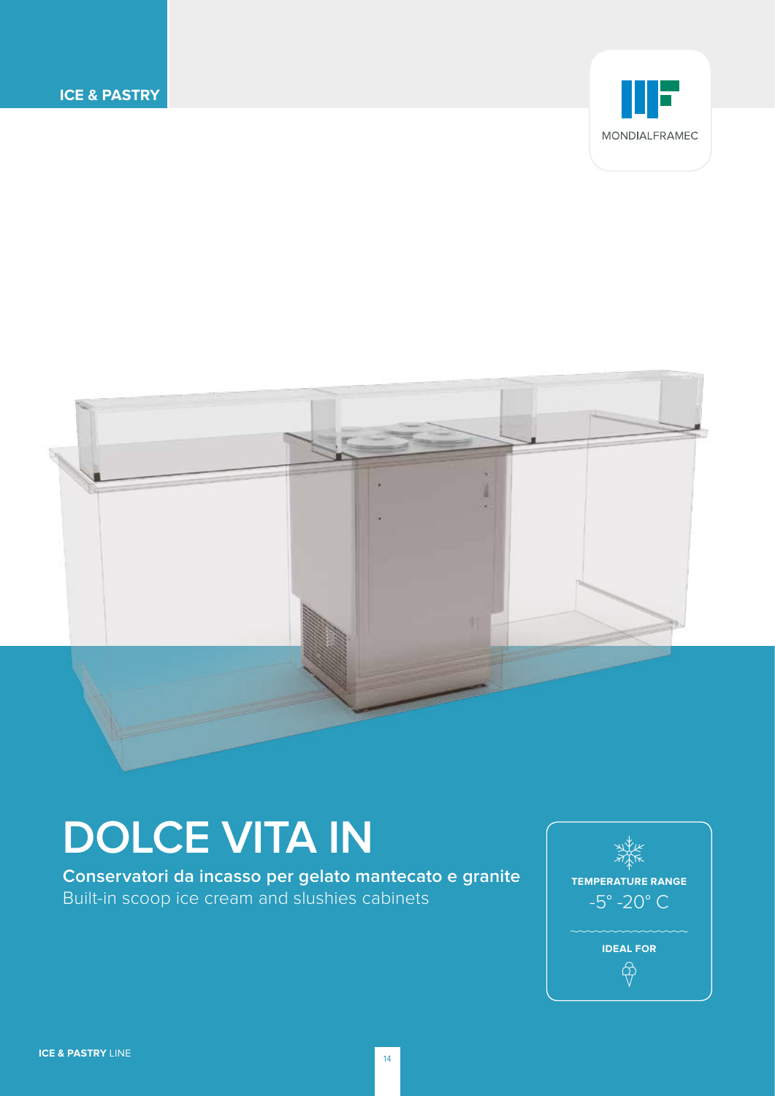



# **DOLCE VITA IN**

**Conservatori da incasso per gelato mantecato e granite**  Built-in scoop ice cream and slushies cabinets